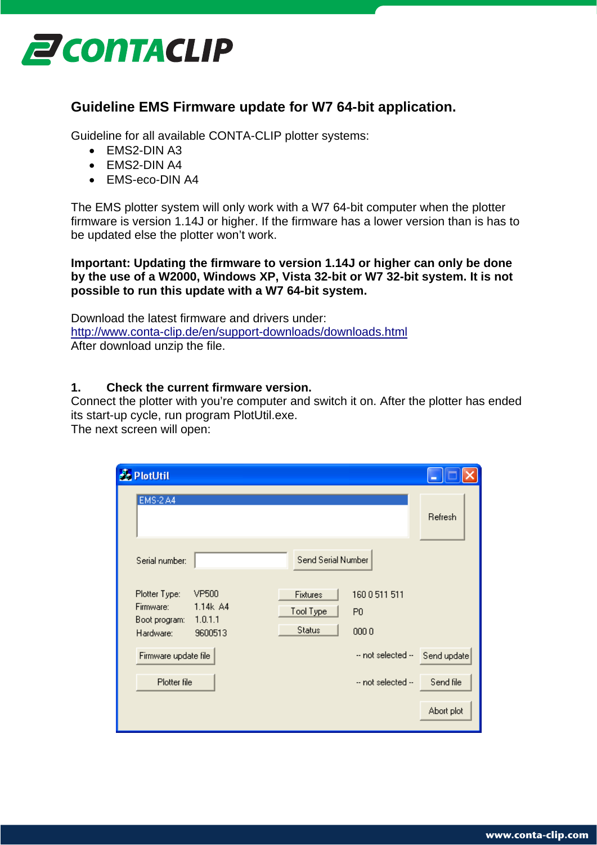

## **Guideline EMS Firmware update for W7 64-bit application.**

Guideline for all available CONTA-CLIP plotter systems:

- EMS2-DIN A3
- EMS2-DIN A4
- EMS-eco-DIN A4

The EMS plotter system will only work with a W7 64-bit computer when the plotter firmware is version 1.14J or higher. If the firmware has a lower version than is has to be updated else the plotter won't work.

**Important: Updating the firmware to version 1.14J or higher can only be done by the use of a W2000, Windows XP, Vista 32-bit or W7 32-bit system. It is not possible to run this update with a W7 64-bit system.**

Download the latest firmware and drivers under: <http://www.conta-clip.de/en/support-downloads/downloads.html> After download unzip the file.

## **1. Check the current firmware version.**

Connect the plotter with you're computer and switch it on. After the plotter has ended its start-up cycle, run program PlotUtil.exe.

The next screen will open:

| <b>A</b> PlotUtil                                        |                                                |                                        |                                      |             |
|----------------------------------------------------------|------------------------------------------------|----------------------------------------|--------------------------------------|-------------|
| <b>EMS-2 A4</b>                                          |                                                |                                        |                                      | Refresh     |
| Serial number:                                           |                                                | Send Serial Number                     |                                      |             |
| Plotter Type:<br>Firmware:<br>Boot program:<br>Hardware: | <b>VP500</b><br>1.14k A4<br>1.0.1.1<br>9600513 | Fixtures<br>Tool Type<br><b>Status</b> | 1600511511<br>P <sub>0</sub><br>0000 |             |
| Firmware update file                                     |                                                |                                        | -- not selected --                   | Send update |
| Plotter file                                             |                                                |                                        | -- not selected --                   | Send file   |
|                                                          |                                                |                                        |                                      | Abort plot  |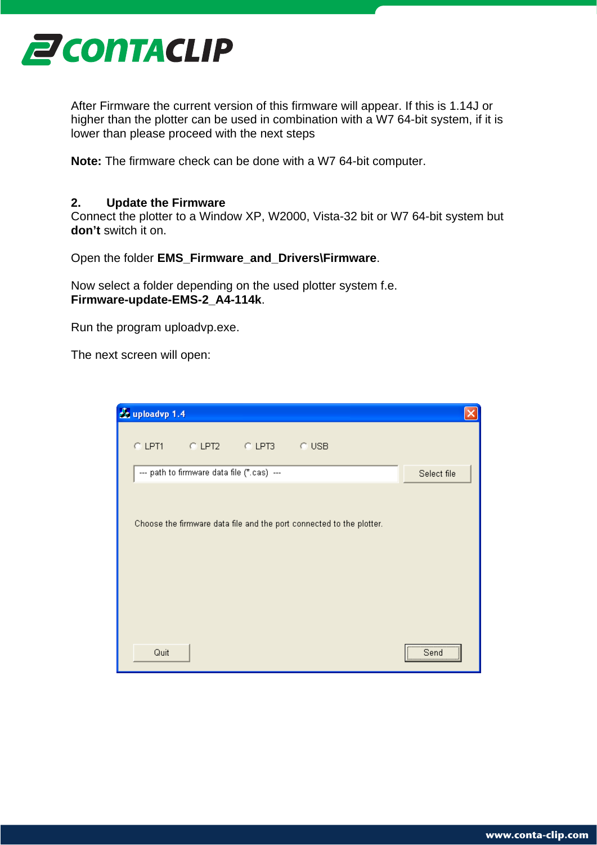

After Firmware the current version of this firmware will appear. If this is 1.14J or higher than the plotter can be used in combination with a W7 64-bit system, if it is lower than please proceed with the next steps

**Note:** The firmware check can be done with a W7 64-bit computer.

## **2. Update the Firmware**

Connect the plotter to a Window XP, W2000, Vista-32 bit or W7 64-bit system but **don't** switch it on.

Open the folder **EMS\_Firmware\_and\_Drivers\Firmware**.

Now select a folder depending on the used plotter system f.e. **Firmware-update-EMS-2\_A4-114k**.

Run the program uploadvp.exe.

The next screen will open:

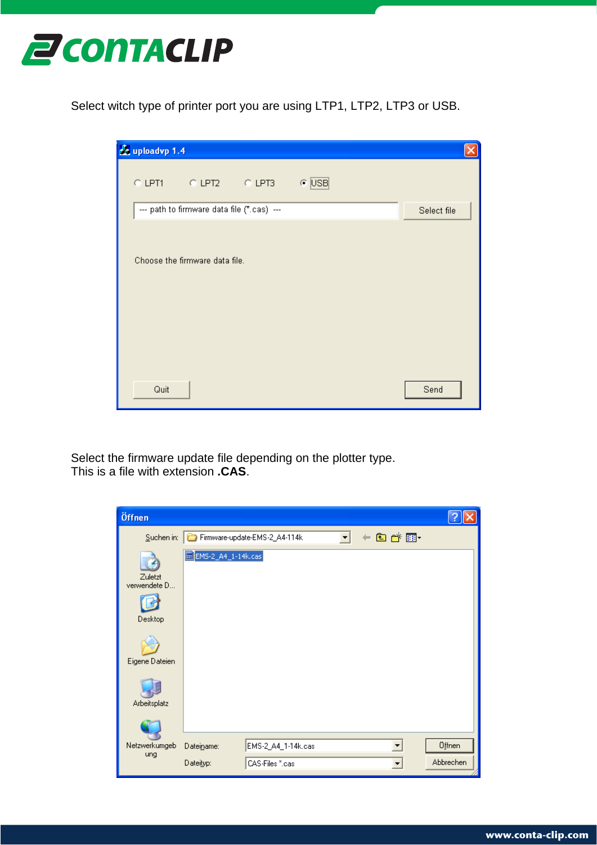

Select witch type of printer port you are using LTP1, LTP2, LTP3 or USB.



Select the firmware update file depending on the plotter type. This is a file with extension **.CAS**.